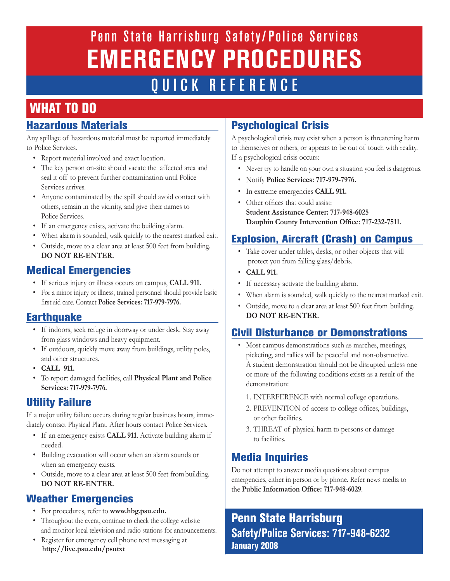Penn State Harrisburg Safety/ Police Services **EMERGENCY PROCEDURES** QUICK REFERENCE

## WHAT TO DO

#### Hazardous Materials

Any spillage of hazardous material must be reported immediately to Police Services.

- Report material involved and exact location.
- The key person on-site should vacate the affected area and seal it off to prevent further contamination until Police Services arrives.
- Anyone contaminated by the spill should avoid contact with others, remain in the vicinity, and give their names to Police Services.
- If an emergency exists, activate the building alarm.
- When alarm is sounded, walk quickly to the nearest marked exit.
- Outside, move to a clear area at least 500 feet from building. **DO NOT RE-ENTER.**

#### Medical Emergencies

- If serious injury or illness occurs on campus, **CALL 911.**
- For a minor injury or illness, trained personnel should provide basic first aid care. Contact **Police Services: 717-979-7976.**

#### Earthquake

- If indoors, seek refuge in doorway or under desk. Stay away from glass windows and heavy equipment.
- If outdoors, quickly move away from buildings, utility poles, and other structures.
- **CALL 911.**
- To report damaged facilities, call **Physical Plant and Police Services: 717-979-7976.**

#### Utility Failure

If a major utility failure occurs during regular business hours, immediately contact Physical Plant. After hours contact Police Services.

- If an emergency exists **CALL 911**. Activate building alarm if needed.
- Building evacuation will occur when an alarm sounds or when an emergency exists.
- Outside, move to a clear area at least 500 feet frombuilding. **DO NOT RE-ENTER.**

#### Weather Emergencies

- For procedures, refer to **www.hbg.psu.edu.**
- Throughout the event, continue to check the college website and monitor local television and radio stations for announcements.
- Register for emergency cell phone text messaging at **http://live.psu.edu/psutxt**

#### Psychological Crisis

A psychological crisis may exist when a person is threatening harm to themselves or others, or appears to be out of touch with reality. If a psychological crisis occurs:

- Never try to handle on your own a situation you feel is dangerous.
- Notify **Police Services: 717-979-7976.**
- In extreme emergencies **CALL 911.**
- Other offices that could assist:  **Student Assistance Center: 717-948-6025 Dauphin County Intervention Office: 717-232-7511.**

#### Explosion, Aircraft (Crash) on Campus

- Take cover under tables, desks, or other objects that will protect you from falling glass/debris.
- **CALL 911.**
- If necessary activate the building alarm.
- When alarm is sounded, walk quickly to the nearest marked exit.
- Outside, move to a clear area at least 500 feet from building. **DO NOT RE-ENTER.**

#### Civil Disturbance or Demonstrations

- Most campus demonstrations such as marches, meetings, picketing, and rallies will be peaceful and non-obstructive. A student demonstration should not be disrupted unless one or more of the following conditions exists as a result of the demonstration:
	- 1. INTERFERENCE with normal college operations.
	- 2. PREVENTION of access to college offices, buildings, or other facilities.
	- 3. THREAT of physical harm to persons or damage to facilities.

#### Media Inquiries

Do not attempt to answer media questions about campus emergencies, either in person or by phone. Refer news media to the **Public Information Office: 717-948-6029**.

#### Penn State Harrisburg **Safety/Police Services: 717-948-6232**  January 2008